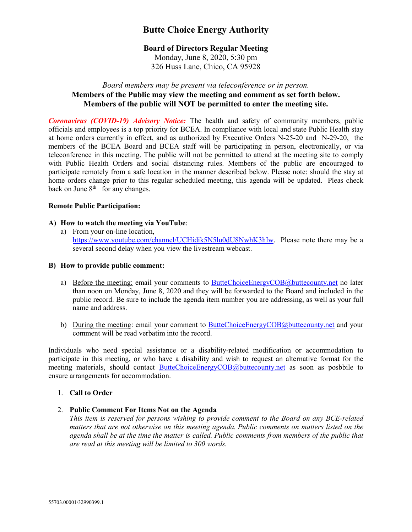# **Butte Choice Energy Authority**

## **Board of Directors Regular Meeting**

Monday, June 8, 2020, 5:30 pm 326 Huss Lane, Chico, CA 95928

## *Board members may be present via teleconference or in person.* **Members of the Public may view the meeting and comment as set forth below. Members of the public will NOT be permitted to enter the meeting site.**

*Coronavirus (COVID-19) Advisory Notice:* The health and safety of community members, public officials and employees is a top priority for BCEA. In compliance with local and state Public Health stay at home orders currently in effect, and as authorized by Executive Orders N-25-20 and N-29-20, the members of the BCEA Board and BCEA staff will be participating in person, electronically, or via teleconference in this meeting. The public will not be permitted to attend at the meeting site to comply with Public Health Orders and social distancing rules. Members of the public are encouraged to participate remotely from a safe location in the manner described below. Please note: should the stay at home orders change prior to this regular scheduled meeting, this agenda will be updated. Pleas check back on June  $8<sup>th</sup>$  for any changes.

### **Remote Public Participation:**

### **A) How to watch the meeting via YouTube**:

a) From your on-line location, [https://www.youtube.com/channel/UCHidik5N5lu0dU8NwhK3hIw.](https://www.youtube.com/channel/UCHidik5N5lu0dU8NwhK3hIw) Please note there may be a several second delay when you view the livestream webcast.

#### **B) How to provide public comment:**

- a) Before the meeting: email your comments to [ButteChoiceEnergyCOB@buttecounty.net](mailto:ButteChoiceEnergyCOB@buttecounty.net) no later than noon on Monday, June 8, 2020 and they will be forwarded to the Board and included in the public record. Be sure to include the agenda item number you are addressing, as well as your full name and address.
- b) During the meeting: email your comment to [ButteChoiceEnergyCOB@buttecounty.net](mailto:ButteChoiceEnergyCOB@buttecounty.net) and your comment will be read verbatim into the record.

Individuals who need special assistance or a disability-related modification or accommodation to participate in this meeting, or who have a disability and wish to request an alternative format for the meeting materials, should contact [ButteChoiceEnergyCOB@buttecounty.net](mailto:ButteChoiceEnergyCOB@buttecounty.net) as soon as posbbile to ensure arrangements for accommodation.

### 1. **Call to Order**

2. **Public Comment For Items Not on the Agenda**

*This item is reserved for persons wishing to provide comment to the Board on any BCE-related matters that are not otherwise on this meeting agenda. Public comments on matters listed on the agenda shall be at the time the matter is called. Public comments from members of the public that are read at this meeting will be limited to 300 words.*